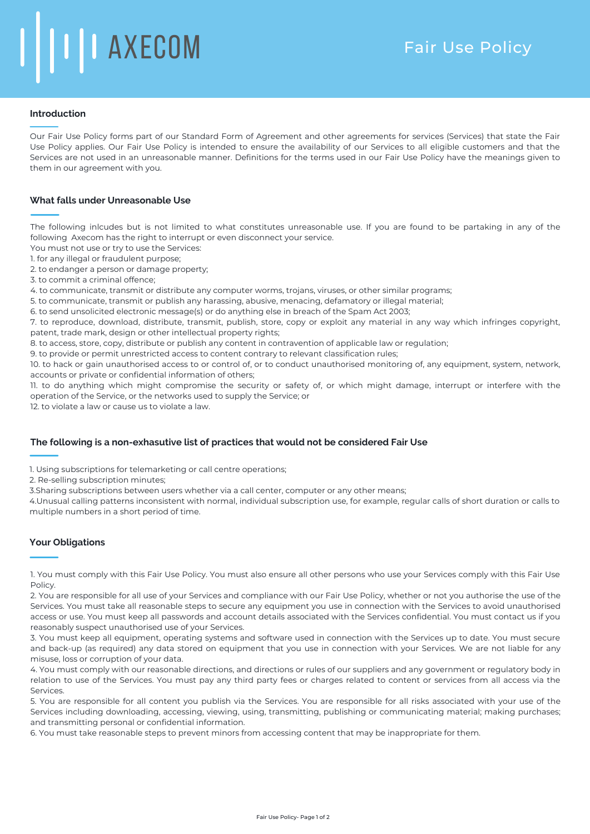# **I** | I AXECOM

## **Introduction**

Our Fair Use Policy forms part of our Standard Form of Agreement and other agreements for services (Services) that state the Fair Use Policy applies. Our Fair Use Policy is intended to ensure the availability of our Services to all eligible customers and that the Services are not used in an unreasonable manner. Definitions for the terms used in our Fair Use Policy have the meanings given to them in our agreement with you.

# **What falls under Unreasonable Use**

The following inlcudes but is not limited to what constitutes unreasonable use. If you are found to be partaking in any of the following Axecom has the right to interrupt or even disconnect your service.

- You must not use or try to use the Services:
- 1. for any illegal or fraudulent purpose;
- 2. to endanger a person or damage property;
- 3. to commit a criminal offence;

4. to communicate, transmit or distribute any computer worms, trojans, viruses, or other similar programs;

- 5. to communicate, transmit or publish any harassing, abusive, menacing, defamatory or illegal material;
- 6. to send unsolicited electronic message(s) or do anything else in breach of the Spam Act 2003;

7. to reproduce, download, distribute, transmit, publish, store, copy or exploit any material in any way which infringes copyright, patent, trade mark, design or other intellectual property rights;

8. to access, store, copy, distribute or publish any content in contravention of applicable law or regulation;

9. to provide or permit unrestricted access to content contrary to relevant classification rules;

10. to hack or gain unauthorised access to or control of, or to conduct unauthorised monitoring of, any equipment, system, network, accounts or private or confidential information of others;

11. to do anything which might compromise the security or safety of, or which might damage, interrupt or interfere with the operation of the Service, or the networks used to supply the Service; or

12. to violate a law or cause us to violate a law.

### **The following is a non-exhasutive list of practices that would not be considered Fair Use**

1. Using subscriptions for telemarketing or call centre operations;

2. Re-selling subscription minutes;

3.Sharing subscriptions between users whether via a call center, computer or any other means;

4.Unusual calling patterns inconsistent with normal, individual subscription use, for example, regular calls of short duration or calls to multiple numbers in a short period of time.

### **Your Obligations**

1. You must comply with this Fair Use Policy. You must also ensure all other persons who use your Services comply with this Fair Use Policy.

2. You are responsible for all use of your Services and compliance with our Fair Use Policy, whether or not you authorise the use of the Services. You must take all reasonable steps to secure any equipment you use in connection with the Services to avoid unauthorised access or use. You must keep all passwords and account details associated with the Services confidential. You must contact us if you reasonably suspect unauthorised use of your Services.

3. You must keep all equipment, operating systems and software used in connection with the Services up to date. You must secure and back-up (as required) any data stored on equipment that you use in connection with your Services. We are not liable for any misuse, loss or corruption of your data.

4. You must comply with our reasonable directions, and directions or rules of our suppliers and any government or regulatory body in relation to use of the Services. You must pay any third party fees or charges related to content or services from all access via the Services.

5. You are responsible for all content you publish via the Services. You are responsible for all risks associated with your use of the Services including downloading, accessing, viewing, using, transmitting, publishing or communicating material; making purchases; and transmitting personal or confidential information.

6. You must take reasonable steps to prevent minors from accessing content that may be inappropriate for them.